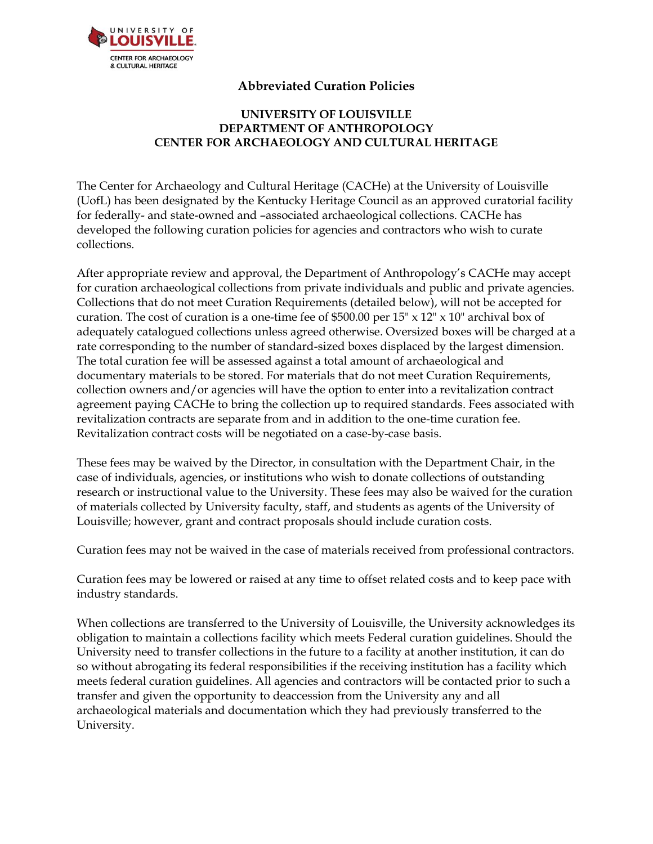

# **Abbreviated Curation Policies**

# **UNIVERSITY OF LOUISVILLE DEPARTMENT OF ANTHROPOLOGY CENTER FOR ARCHAEOLOGY AND CULTURAL HERITAGE**

The Center for Archaeology and Cultural Heritage (CACHe) at the University of Louisville (UofL) has been designated by the Kentucky Heritage Council as an approved curatorial facility for federally- and state-owned and –associated archaeological collections. CACHe has developed the following curation policies for agencies and contractors who wish to curate collections.

After appropriate review and approval, the Department of Anthropology's CACHe may accept for curation archaeological collections from private individuals and public and private agencies. Collections that do not meet Curation Requirements (detailed below), will not be accepted for curation. The cost of curation is a one-time fee of \$500.00 per  $15" \times 12" \times 10"$  archival box of adequately catalogued collections unless agreed otherwise. Oversized boxes will be charged at a rate corresponding to the number of standard-sized boxes displaced by the largest dimension. The total curation fee will be assessed against a total amount of archaeological and documentary materials to be stored. For materials that do not meet Curation Requirements, collection owners and/or agencies will have the option to enter into a revitalization contract agreement paying CACHe to bring the collection up to required standards. Fees associated with revitalization contracts are separate from and in addition to the one-time curation fee. Revitalization contract costs will be negotiated on a case-by-case basis.

These fees may be waived by the Director, in consultation with the Department Chair, in the case of individuals, agencies, or institutions who wish to donate collections of outstanding research or instructional value to the University. These fees may also be waived for the curation of materials collected by University faculty, staff, and students as agents of the University of Louisville; however, grant and contract proposals should include curation costs.

Curation fees may not be waived in the case of materials received from professional contractors.

Curation fees may be lowered or raised at any time to offset related costs and to keep pace with industry standards.

When collections are transferred to the University of Louisville, the University acknowledges its obligation to maintain a collections facility which meets Federal curation guidelines. Should the University need to transfer collections in the future to a facility at another institution, it can do so without abrogating its federal responsibilities if the receiving institution has a facility which meets federal curation guidelines. All agencies and contractors will be contacted prior to such a transfer and given the opportunity to deaccession from the University any and all archaeological materials and documentation which they had previously transferred to the University.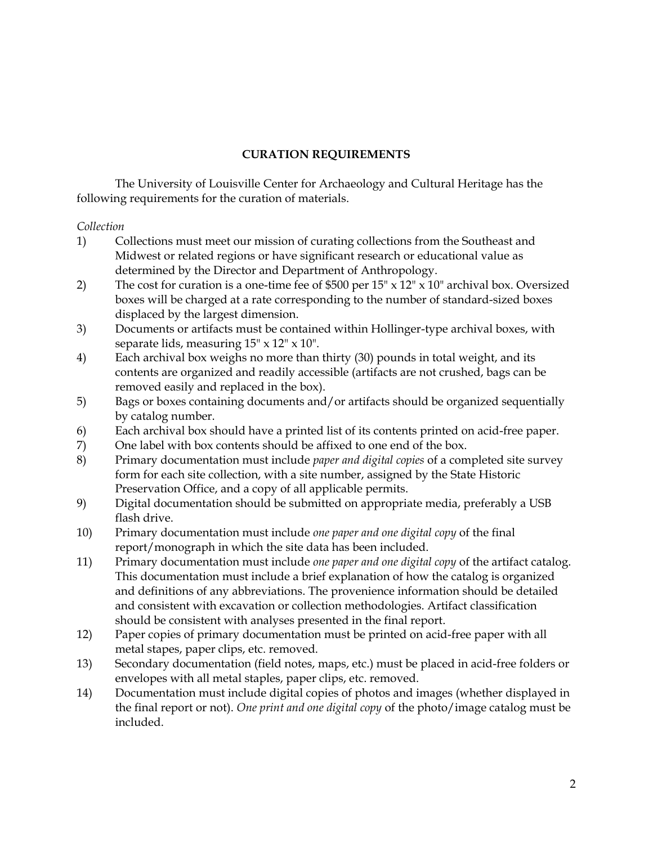### **CURATION REQUIREMENTS**

The University of Louisville Center for Archaeology and Cultural Heritage has the following requirements for the curation of materials.

#### *Collection*

- 1) Collections must meet our mission of curating collections from the Southeast and Midwest or related regions or have significant research or educational value as determined by the Director and Department of Anthropology.
- 2) The cost for curation is a one-time fee of \$500 per 15" x 12" x 10" archival box. Oversized boxes will be charged at a rate corresponding to the number of standard-sized boxes displaced by the largest dimension.
- 3) Documents or artifacts must be contained within Hollinger-type archival boxes, with separate lids, measuring  $15" \times 12" \times 10".$
- 4) Each archival box weighs no more than thirty (30) pounds in total weight, and its contents are organized and readily accessible (artifacts are not crushed, bags can be removed easily and replaced in the box).
- 5) Bags or boxes containing documents and/or artifacts should be organized sequentially by catalog number.
- 6) Each archival box should have a printed list of its contents printed on acid-free paper.
- 7) One label with box contents should be affixed to one end of the box.
- 8) Primary documentation must include *paper and digital copies* of a completed site survey form for each site collection, with a site number, assigned by the State Historic Preservation Office, and a copy of all applicable permits.
- 9) Digital documentation should be submitted on appropriate media, preferably a USB flash drive.
- 10) Primary documentation must include *one paper and one digital copy* of the final report/monograph in which the site data has been included.
- 11) Primary documentation must include *one paper and one digital copy* of the artifact catalog. This documentation must include a brief explanation of how the catalog is organized and definitions of any abbreviations. The provenience information should be detailed and consistent with excavation or collection methodologies. Artifact classification should be consistent with analyses presented in the final report.
- 12) Paper copies of primary documentation must be printed on acid-free paper with all metal stapes, paper clips, etc. removed.
- 13) Secondary documentation (field notes, maps, etc.) must be placed in acid-free folders or envelopes with all metal staples, paper clips, etc. removed.
- 14) Documentation must include digital copies of photos and images (whether displayed in the final report or not). *One print and one digital copy* of the photo/image catalog must be included.